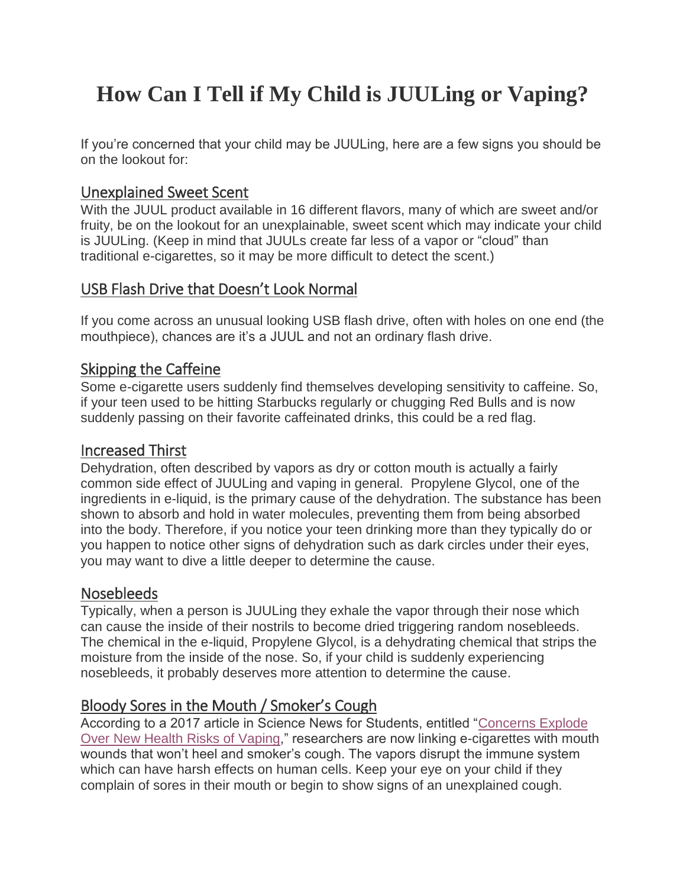# **How Can I Tell if My Child is JUULing or Vaping?**

If you're concerned that your child may be JUULing, here are a few signs you should be on the lookout for:

## Unexplained Sweet Scent

With the JUUL product available in 16 different flavors, many of which are sweet and/or fruity, be on the lookout for an unexplainable, sweet scent which may indicate your child is JUULing. (Keep in mind that JUULs create far less of a vapor or "cloud" than traditional e-cigarettes, so it may be more difficult to detect the scent.)

# USB Flash Drive that Doesn't Look Normal

If you come across an unusual looking USB flash drive, often with holes on one end (the mouthpiece), chances are it's a JUUL and not an ordinary flash drive.

#### Skipping the Caffeine

Some e-cigarette users suddenly find themselves developing sensitivity to caffeine. So, if your teen used to be hitting Starbucks regularly or chugging Red Bulls and is now suddenly passing on their favorite caffeinated drinks, this could be a red flag.

#### Increased Thirst

Dehydration, often described by vapors as dry or cotton mouth is actually a fairly common side effect of JUULing and vaping in general. Propylene Glycol, one of the ingredients in e-liquid, is the primary cause of the dehydration. The substance has been shown to absorb and hold in water molecules, preventing them from being absorbed into the body. Therefore, if you notice your teen drinking more than they typically do or you happen to notice other signs of dehydration such as dark circles under their eyes, you may want to dive a little deeper to determine the cause.

#### Nosebleeds

Typically, when a person is JUULing they exhale the vapor through their nose which can cause the inside of their nostrils to become dried triggering random nosebleeds. The chemical in the e-liquid, Propylene Glycol, is a dehydrating chemical that strips the moisture from the inside of the nose. So, if your child is suddenly experiencing nosebleeds, it probably deserves more attention to determine the cause.

# Bloody Sores in the Mouth / Smoker's Cough

According to a 2017 article in Science News for Students, entitled ["Concerns Explode](https://www.sciencenewsforstudents.org/article/concerns-explode-over-new-health-risks-vaping)  [Over New Health Risks of Vaping,](https://www.sciencenewsforstudents.org/article/concerns-explode-over-new-health-risks-vaping)" researchers are now linking e-cigarettes with mouth wounds that won't heel and smoker's cough. The vapors disrupt the immune system which can have harsh effects on human cells. Keep your eye on your child if they complain of sores in their mouth or begin to show signs of an unexplained cough.